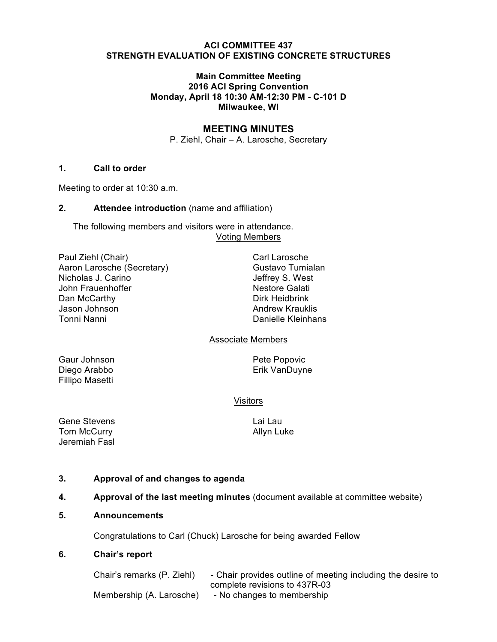### **ACI COMMITTEE 437 STRENGTH EVALUATION OF EXISTING CONCRETE STRUCTURES**

## **Main Committee Meeting 2016 ACI Spring Convention Monday, April 18 10:30 AM-12:30 PM - C-101 D Milwaukee, WI**

# **MEETING MINUTES**

P. Ziehl, Chair – A. Larosche, Secretary

## **1. Call to order**

Meeting to order at 10:30 a.m.

## **2. Attendee introduction** (name and affiliation)

The following members and visitors were in attendance. Voting Members

| Paul Ziehl (Chair)         |
|----------------------------|
| Aaron Larosche (Secretary) |
| Nicholas J. Carino         |
| John Frauenhoffer          |
| Dan McCarthy               |
| Jason Johnson              |
| Tonni Nanni                |

Carl Larosche Gustavo Tumialan Jeffrey S. West **Nestore Galati** Dirk Heidbrink **Andrew Krauklis** Danielle Kleinhans

# Associate Members

Gaur Johnson **Pete Popovic** Fillipo Masetti

Diego Arabbo **Erik VanDuyne** 

# Visitors

Gene Stevens **Lai Lau** Tom McCurry **Allyn Luke** Jeremiah Fasl

# **3. Approval of and changes to agenda**

**4. Approval of the last meeting minutes** (document available at committee website)

#### **5. Announcements**

Congratulations to Carl (Chuck) Larosche for being awarded Fellow

#### **6. Chair's report**

| Chair's remarks (P. Ziehl) | - Chair provides outline of meeting including the desire to |
|----------------------------|-------------------------------------------------------------|
|                            | complete revisions to 437R-03                               |
| Membership (A. Larosche)   | - No changes to membership                                  |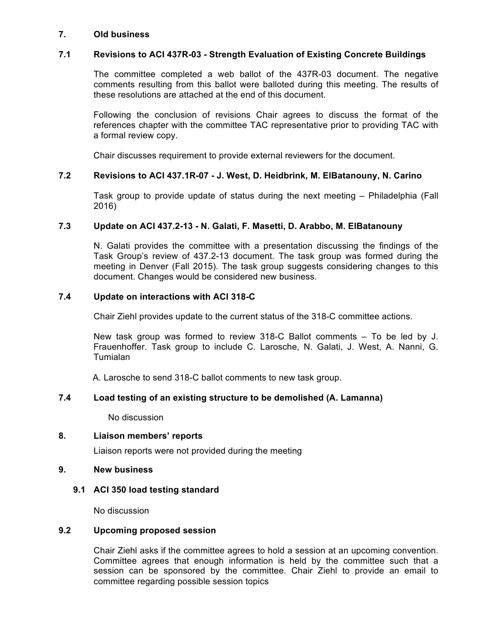### **7. Old business**

## **7.1 Revisions to ACI 437R-03 - Strength Evaluation of Existing Concrete Buildings**

The committee completed a web ballot of the 437R-03 document. The negative comments resulting from this ballot were balloted during this meeting. The results of these resolutions are attached at the end of this document.

Following the conclusion of revisions Chair agrees to discuss the format of the references chapter with the committee TAC representative prior to providing TAC with a formal review copy.

Chair discusses requirement to provide external reviewers for the document.

## **7.2 Revisions to ACI 437.1R-07 - J. West, D. Heidbrink, M. ElBatanouny, N. Carino**

Task group to provide update of status during the next meeting – Philadelphia (Fall 2016)

## **7.3 Update on ACI 437.2-13 - N. Galati, F. Masetti, D. Arabbo, M. ElBatanouny**

N. Galati provides the committee with a presentation discussing the findings of the Task Group's review of 437.2-13 document. The task group was formed during the meeting in Denver (Fall 2015). The task group suggests considering changes to this document. Changes would be considered new business.

## **7.4 Update on interactions with ACI 318-C**

Chair Ziehl provides update to the current status of the 318-C committee actions.

New task group was formed to review 318-C Ballot comments – To be led by J. Frauenhoffer. Task group to include C. Larosche, N. Galati, J. West, A. Nanni, G. Tumialan

A. Larosche to send 318-C ballot comments to new task group.

# **7.4 Load testing of an existing structure to be demolished (A. Lamanna)**

No discussion

#### **8. Liaison members' reports**

Liaison reports were not provided during the meeting

### **9. New business**

#### **9.1 ACI 350 load testing standard**

No discussion

#### **9.2 Upcoming proposed session**

Chair Ziehl asks if the committee agrees to hold a session at an upcoming convention. Committee agrees that enough information is held by the committee such that a session can be sponsored by the committee. Chair Ziehl to provide an email to committee regarding possible session topics